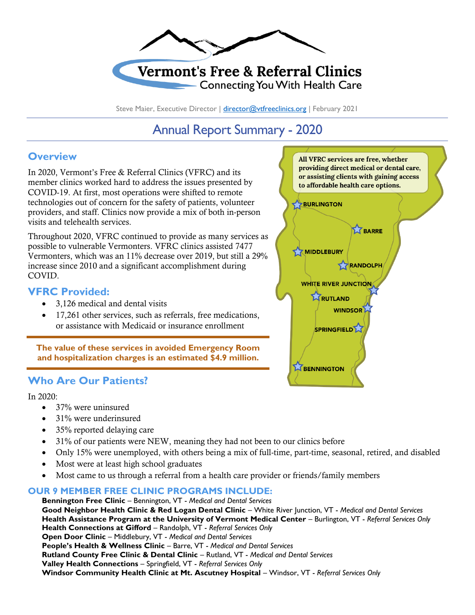

## **Vermont's Free & Referral Clinics Connecting You With Health Care**

Steve Maier, Executive Director | [director@vtfreeclinics.org](mailto:director@vtfreeclinics.org) | February 2021

# Annual Report Summary - 2020

### **Overview**

In 2020, Vermont's Free & Referral Clinics (VFRC) and its member clinics worked hard to address the issues presented by COVID-19. At first, most operations were shifted to remote technologies out of concern for the safety of patients, volunteer providers, and staff. Clinics now provide a mix of both in-person visits and telehealth services.

Throughout 2020, VFRC continued to provide as many services as possible to vulnerable Vermonters. VFRC clinics assisted 7477 Vermonters, which was an 11% decrease over 2019, but still a 29% increase since 2010 and a significant accomplishment during COVID.

#### **VFRC Provided:**

- 3,126 medical and dental visits
- 17,261 other services, such as referrals, free medications, or assistance with Medicaid or insurance enrollment

**The value of these services in avoided Emergency Room and hospitalization charges is an estimated \$4.9 million.**

## **Who Are Our Patients?**

In 2020:

- 37% were uninsured
- 31% were underinsured
- 35% reported delaying care
- 31% of our patients were NEW, meaning they had not been to our clinics before
- Only 15% were unemployed, with others being a mix of full-time, part-time, seasonal, retired, and disabled
- Most were at least high school graduates
- Most came to us through a referral from a health care provider or friends/family members

#### **OUR 9 MEMBER FREE CLINIC PROGRAMS INCLUDE:**

**Bennington Free Clinic** – Bennington, VT - *Medical and Dental Services* **Good Neighbor Health Clinic & Red Logan Dental Clinic** – White River Junction, VT - *Medical and Dental Services* **Health Assistance Program at the University of Vermont Medical Center** – Burlington, VT - *Referral Services Only* **Health Connections at Gifford** – Randolph, VT - *Referral Services Only* **Open Door Clinic** – Middlebury, VT - *Medical and Dental Services* **People's Health & Wellness Clinic** – Barre, VT - *Medical and Dental Services* **Rutland County Free Clinic & Dental Clinic** – Rutland, VT - *Medical and Dental Services* **Valley Health Connections** – Springfield, VT - *Referral Services Only* **Windsor Community Health Clinic at Mt. Ascutney Hospital** – Windsor, VT - *Referral Services Only*